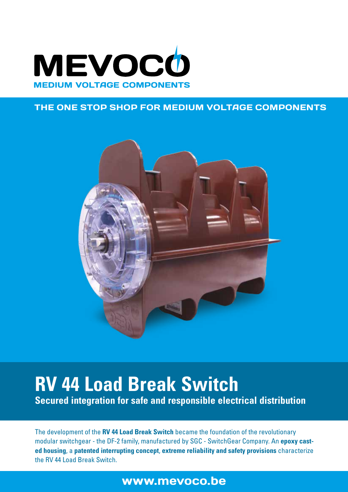

#### THE ONE STOP SHOP FOR MEDIUM VOLTAGE COMPONENTS



# **RV 44 Load Break Switch Secured integration for safe and responsible electrical distribution**

The development of the **RV 44 Load Break Switch** became the foundation of the revolutionary modular switchgear - the DF-2 family, manufactured by SGC - SwitchGear Company. An **epoxy casted housing**, a **patented interrupting concept**, **extreme reliability and safety provisions** characterize the RV 44 Load Break Switch.

# www.mevoco.be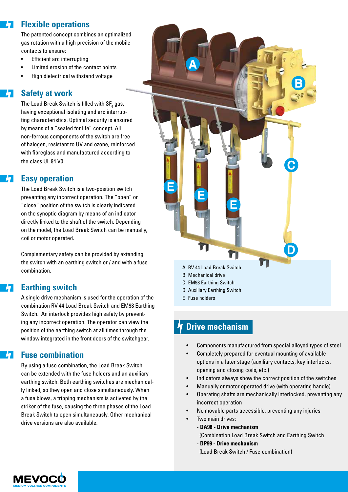#### **Flexible operations** h

The patented concept combines an optimalized gas rotation with a high precision of the mobile contacts to ensure:

- Efficient arc interrupting
- Limited erosion of the contact points
- High dielectrical withstand voltage

#### **Safety at work**

The Load Break Switch is filled with SF $_{\rm_6}$  gas, having exceptional isolating and arc interrupting characteristics. Optimal security is ensured by means of a "sealed for life" concept. All non-ferrous components of the switch are free of halogen, resistant to UV and ozone, reinforced with fibreglass and manufactured according to the class UL 94 V0.

#### **Easy operation**

The Load Break Switch is a two-position switch preventing any incorrect operation. The "open" or "close" position of the switch is clearly indicated on the synoptic diagram by means of an indicator directly linked to the shaft of the switch. Depending on the model, the Load Break Switch can be manually, coil or motor operated.

Complementary safety can be provided by extending the switch with an earthing switch or / and with a fuse combination.

#### **Earthing switch**

A single drive mechanism is used for the operation of the combination RV 44 Load Break Switch and EM98 Earthing Switch. An interlock provides high safety by preventing any incorrect operation. The operator can view the position of the earthing switch at all times through the window integrated in the front doors of the switchgear.

#### **Fuse combination**

By using a fuse combination, the Load Break Switch can be extended with the fuse holders and an auxiliary earthing switch. Both earthing switches are mechanically linked, so they open and close simultaneously. When a fuse blows, a tripping mechanism is activated by the striker of the fuse, causing the three phases of the Load Break Switch to open simultaneously. Other mechanical drive versions are also available.



E Fuse holders

### **Drive mechanism**

- Components manufactured from special alloyed types of steel
- Completely prepared for eventual mounting of available options in a later stage (auxiliary contacts, key interlocks, opening and closing coils, etc.)
- Indicators always show the correct position of the switches
- Manually or motor operated drive (with operating handle)
- Operating shafts are mechanically interlocked, preventing any incorrect operation
- No movable parts accessible, preventing any injuries
- Two main drives:
	- **DA98 Drive mechanism** 
		- (Combination Load Break Switch and Earthing Switch
		- **DP99 Drive mechanism**
		- (Load Break Switch / Fuse combination)

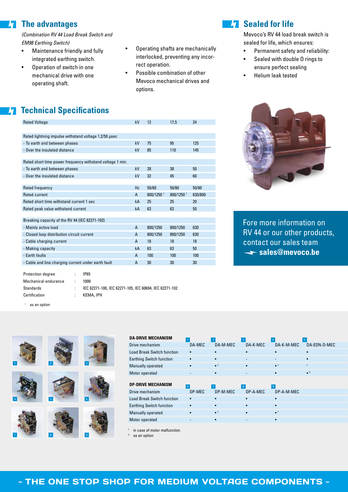#### **The advantages**  $\mathbf{h}$

*(Combination RV 44 Load Break Switch and EM98 Earthing Switch)*

- Maintenance friendly and fully integrated earthing switch.
- Operation of switch in one mechanical drive with one operating shaft.
- Operating shafts are mechanically interlocked, preventing any incorrect operation.
- Possible combination of other Mevoco mechanical drives and options.

### **Z7** Sealed for life

Mevoco's RV 44 load break switch is sealed for life, which ensures:

- Permanent safety and reliability:
- Sealed with double O rings to ensure perfect sealing
- Helium leak tested

## **The Technical Specifications**

| <b>Rated Voltage</b>                                      | kV | 12                    | 17,5                  | 24      |
|-----------------------------------------------------------|----|-----------------------|-----------------------|---------|
|                                                           |    |                       |                       |         |
| Rated lightning impulse withstand voltage 1.2/50 usec     |    |                       |                       |         |
| - To earth and between phases                             | kV | 75                    | 95                    | 125     |
| - Over the insulated distance                             | kV | 85                    | 110                   | 145     |
|                                                           |    |                       |                       |         |
| Rated short time power frequency withstand voltage 1 min. |    |                       |                       |         |
| - To earth and between phases                             | kV | 28                    | 38                    | 50      |
| - Over the insulated distance                             | kV | 32                    | 45                    | 60      |
|                                                           |    |                       |                       |         |
| Rated frequency                                           | Hz | 50/60                 | 50/60                 | 50/60   |
| Rated current                                             | A  | 800/1250 <sup>1</sup> | 800/1250 <sup>1</sup> | 630/800 |
| Rated short time withstand current 1 sec                  | kA | 25                    | 25                    | 20      |
| Rated peak value withstand current                        | kA | 63                    | 63                    | 50      |
|                                                           |    |                       |                       |         |
| Breaking capacity of the RV 44 (IEC 62271-102)            |    |                       |                       |         |
| - Mainly active load                                      | A  | 800/1250              | 800/1250              | 630     |
| - Closed loop distribution circuit current                | A  | 800/1250              | 800/1250              | 630     |
| - Cable charging current                                  | A  | 18                    | 18                    | 18      |
| - Making capacity                                         | kA | 63                    | 63                    | 50      |
| - Earth faults                                            | A  | 100                   | 100                   | 100     |
| - Cable and line charging current under earth fault       | A  | 30                    | 30                    | 30      |
|                                                           |    |                       |                       |         |
|                                                           |    |                       |                       |         |

| Protection degree    | IP65                                                   |
|----------------------|--------------------------------------------------------|
| Mechanical endurance | 1000                                                   |
| Standards            | IEC 62271-100, IEC 62271-105, IEC 60694, IEC 62271-102 |
| Certification        | KEMA, IPH                                              |
|                      |                                                        |

<sup>1</sup> as an option



| <b>DA-DRIVE MECHANISM</b>         |          |                        |              |                        |              |
|-----------------------------------|----------|------------------------|--------------|------------------------|--------------|
| Drive mechanism                   | DA-MEC   | DA-M-MEC               | DA-K-MEC     | DA-K-M-MEC             | DA-EDN-D-MEC |
| <b>Load Break Switch function</b> |          |                        |              |                        |              |
| <b>Earthing Switch function</b>   |          |                        |              |                        |              |
| Manually operated                 |          | $\bullet$ <sup>1</sup> |              | $\bullet$ <sup>1</sup> |              |
| Motor operated                    |          |                        |              |                        | $\bullet$ 2  |
|                                   |          |                        |              |                        |              |
| <b>DP-DRIVE MECHANISM</b>         | <b>6</b> |                        | $\mathbf{8}$ | 9                      |              |
|                                   |          |                        |              |                        |              |
| Drive mechanism                   | DP-MEC   | DP-M-MEC               | DP-A-MEC     | DP-A-M-MEC             |              |
| <b>Load Break Switch function</b> |          |                        |              |                        |              |
| <b>Earthing Switch function</b>   |          |                        |              |                        |              |
| Manually operated                 |          | $\bullet$ <sup>1</sup> |              | $\bullet$ <sup>1</sup> |              |
| Motor operated                    |          |                        |              |                        |              |

in case of motor malfunction

as an option



Fore more information on RV 44 or our other products, contact our sales team sales@mevoco.be

| - THE ONE STOP SHOP FOR MEDIUM VOLTAGE COMPONENTS - |  |  |
|-----------------------------------------------------|--|--|
|                                                     |  |  |
|                                                     |  |  |